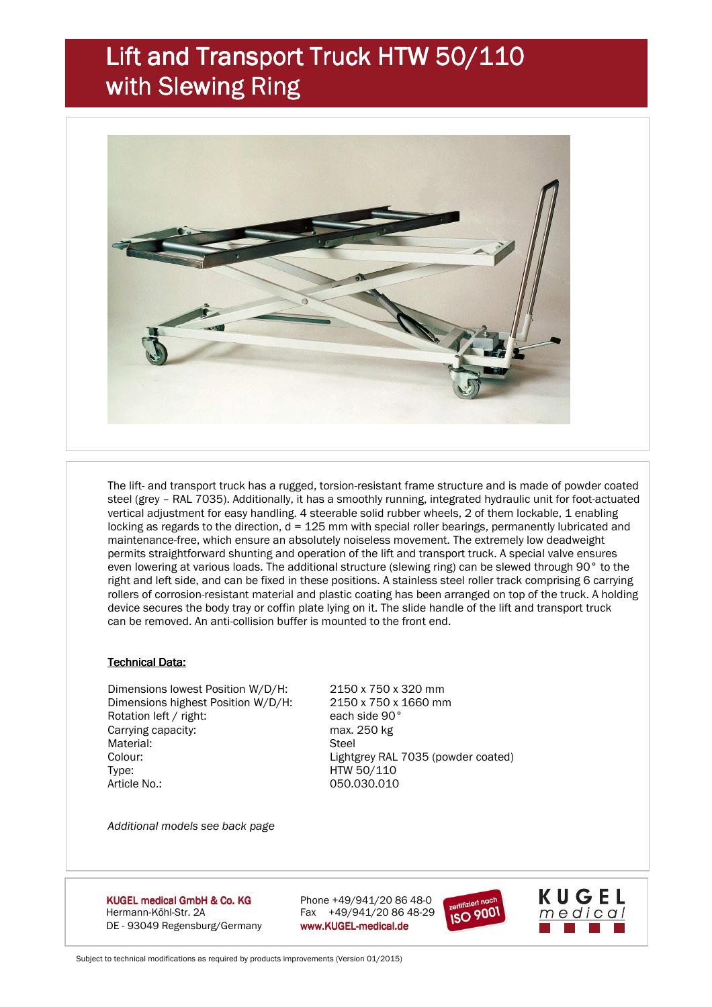## Lift and Transport Truck HTW 50/110 with Slewing Ring



 The lift- and transport truck has a rugged, torsion-resistant frame structure and is made of powder coated steel (grey – RAL 7035). Additionally, it has a smoothly running, integrated hydraulic unit for foot-actuated vertical adjustment for easy handling. 4 steerable solid rubber wheels, 2 of them lockable, 1 enabling locking as regards to the direction, d = 125 mm with special roller bearings, permanently lubricated and maintenance-free, which ensure an absolutely noiseless movement. The extremely low deadweight permits straightforward shunting and operation of the lift and transport truck. A special valve ensures even lowering at various loads. The additional structure (slewing ring) can be slewed through 90° to the right and left side, and can be fixed in these positions. A stainless steel roller track comprising 6 carrying rollers of corrosion-resistant material and plastic coating has been arranged on top of the truck. A holding device secures the body tray or coffin plate lying on it. The slide handle of the lift and transport truck can be removed. An anti-collision buffer is mounted to the front end.

## **Technical Data:**

 Dimensions lowest Position W/D/H: 2150 x 750 x 320 mm Dimensions highest Position W/D/H: 2150 x 750 x 1660 mm Rotation left / right: each side 90° Carrying capacity: max. 250 kg Material: Steel Colour: Lightgrey RAL 7035 (powder coated) Type: HTW 50/110 Article No.: 050.030.010

*Additional models see back page* 

KUGEL medical GmbH & Co. KG Hermann-Köhl-Str. 2A Fax +49/941/20 86 48-29 DE - 93049 Regensburg/Germany www.KUGEL-medical.de

Phone  $+49/941/20 86 48-0$ 





Subject to technical modifications as required by products improvements (Version 01/2015)